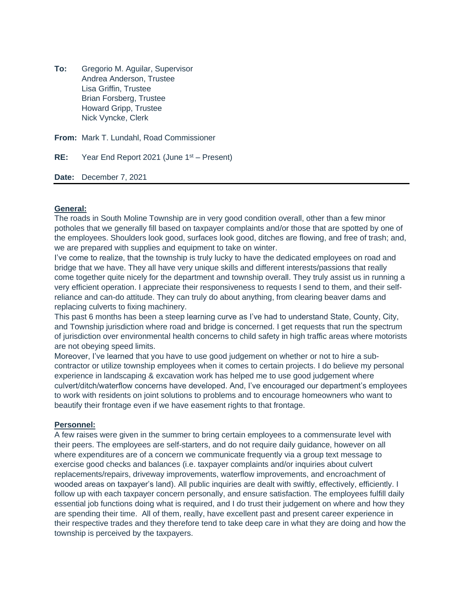**To:** Gregorio M. Aguilar, Supervisor Andrea Anderson, Trustee Lisa Griffin, Trustee Brian Forsberg, Trustee Howard Gripp, Trustee Nick Vyncke, Clerk

**From:** Mark T. Lundahl, Road Commissioner

**RE:** Year End Report 2021 (June 1<sup>st</sup> – Present)

**Date:** December 7, 2021

# **General:**

The roads in South Moline Township are in very good condition overall, other than a few minor potholes that we generally fill based on taxpayer complaints and/or those that are spotted by one of the employees. Shoulders look good, surfaces look good, ditches are flowing, and free of trash; and, we are prepared with supplies and equipment to take on winter.

I've come to realize, that the township is truly lucky to have the dedicated employees on road and bridge that we have. They all have very unique skills and different interests/passions that really come together quite nicely for the department and township overall. They truly assist us in running a very efficient operation. I appreciate their responsiveness to requests I send to them, and their selfreliance and can-do attitude. They can truly do about anything, from clearing beaver dams and replacing culverts to fixing machinery.

This past 6 months has been a steep learning curve as I've had to understand State, County, City, and Township jurisdiction where road and bridge is concerned. I get requests that run the spectrum of jurisdiction over environmental health concerns to child safety in high traffic areas where motorists are not obeying speed limits.

Moreover, I've learned that you have to use good judgement on whether or not to hire a subcontractor or utilize township employees when it comes to certain projects. I do believe my personal experience in landscaping & excavation work has helped me to use good judgement where culvert/ditch/waterflow concerns have developed. And, I've encouraged our department's employees to work with residents on joint solutions to problems and to encourage homeowners who want to beautify their frontage even if we have easement rights to that frontage.

# **Personnel:**

A few raises were given in the summer to bring certain employees to a commensurate level with their peers. The employees are self-starters, and do not require daily guidance, however on all where expenditures are of a concern we communicate frequently via a group text message to exercise good checks and balances (i.e. taxpayer complaints and/or inquiries about culvert replacements/repairs, driveway improvements, waterflow improvements, and encroachment of wooded areas on taxpayer's land). All public inquiries are dealt with swiftly, effectively, efficiently. I follow up with each taxpayer concern personally, and ensure satisfaction. The employees fulfill daily essential job functions doing what is required, and I do trust their judgement on where and how they are spending their time. All of them, really, have excellent past and present career experience in their respective trades and they therefore tend to take deep care in what they are doing and how the township is perceived by the taxpayers.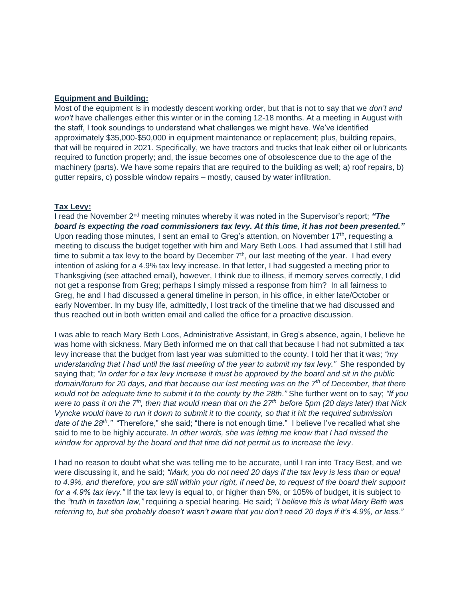### **Equipment and Building:**

Most of the equipment is in modestly descent working order, but that is not to say that we *don't and won't* have challenges either this winter or in the coming 12-18 months. At a meeting in August with the staff, I took soundings to understand what challenges we might have. We've identified approximately \$35,000-\$50,000 in equipment maintenance or replacement; plus, building repairs, that will be required in 2021. Specifically, we have tractors and trucks that leak either oil or lubricants required to function properly; and, the issue becomes one of obsolescence due to the age of the machinery (parts). We have some repairs that are required to the building as well; a) roof repairs, b) gutter repairs, c) possible window repairs – mostly, caused by water infiltration.

#### **Tax Levy:**

I read the November 2nd meeting minutes whereby it was noted in the Supervisor's report; *"The board is expecting the road commissioners tax levy. At this time, it has not been presented."* Upon reading those minutes, I sent an email to Greg's attention, on November 17<sup>th</sup>, requesting a meeting to discuss the budget together with him and Mary Beth Loos. I had assumed that I still had time to submit a tax levy to the board by December  $7<sup>th</sup>$ , our last meeting of the year. I had every intention of asking for a 4.9% tax levy increase. In that letter, I had suggested a meeting prior to Thanksgiving (see attached email), however, I think due to illness, if memory serves correctly, I did not get a response from Greg; perhaps I simply missed a response from him? In all fairness to Greg, he and I had discussed a general timeline in person, in his office, in either late/October or early November. In my busy life, admittedly, I lost track of the timeline that we had discussed and thus reached out in both written email and called the office for a proactive discussion.

I was able to reach Mary Beth Loos, Administrative Assistant, in Greg's absence, again, I believe he was home with sickness. Mary Beth informed me on that call that because I had not submitted a tax levy increase that the budget from last year was submitted to the county. I told her that it was; *"my understanding that I had until the last meeting of the year to submit my tax levy."* She responded by saying that; *"in order for a tax levy increase it must be approved by the board and sit in the public domain/forum for 20 days, and that because our last meeting was on the 7th of December, that there would not be adequate time to submit it to the county by the 28th."* She further went on to say; *"If you were to pass it on the 7th, then that would mean that on the 27th before 5pm (20 days later) that Nick Vyncke would have to run it down to submit it to the county, so that it hit the required submission date of the 28th."* "Therefore," she said; "there is not enough time." I believe I've recalled what she said to me to be highly accurate. *In other words, she was letting me know that I had missed the window for approval by the board and that time did not permit us to increase the levy*.

I had no reason to doubt what she was telling me to be accurate, until I ran into Tracy Best, and we were discussing it, and he said; *"Mark, you do not need 20 days if the tax levy is less than or equal to 4.9%, and therefore, you are still within your right, if need be, to request of the board their support for a 4.9% tax levy."* If the tax levy is equal to, or higher than 5%, or 105% of budget, it is subject to the *"truth in taxation law,"* requiring a special hearing. He said; *"I believe this is what Mary Beth was referring to, but she probably doesn't wasn't aware that you don't need 20 days if it's 4.9%, or less."*